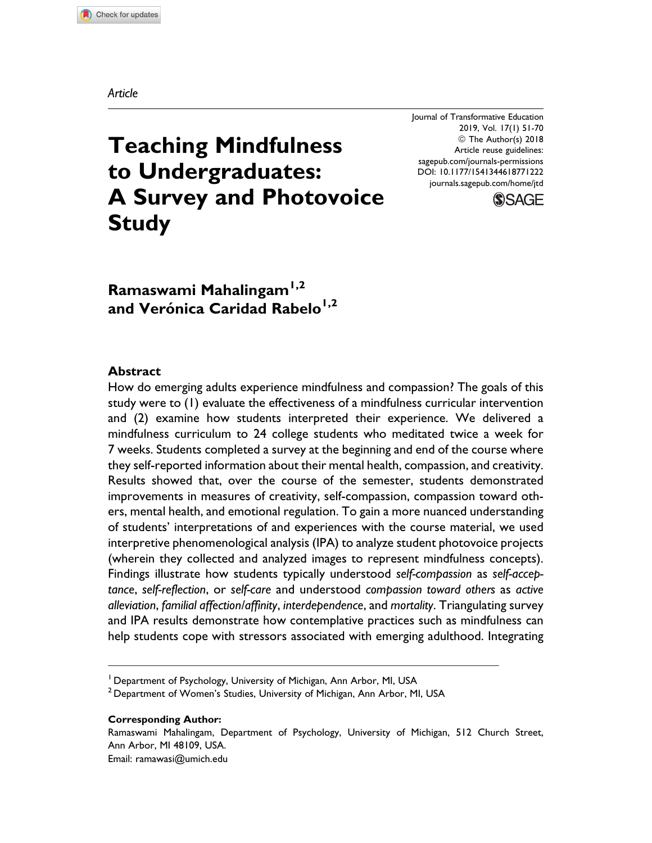Journal of Transformative Education 2019, Vol. 17(1) 51-70 © The Author(s) 2018 Article reuse guidelines: sagepub.com/journals-permissions DOI: 10.1177/1541344618771222 journals.sagepub.com/home/jtd



# Teaching Mindfulness to Undergraduates: A Survey and Photovoice Study

Ramaswami Mahalingam<sup>1,2</sup> and Verónica Caridad Rabelo<sup>1,2</sup>

#### Abstract

How do emerging adults experience mindfulness and compassion? The goals of this study were to (1) evaluate the effectiveness of a mindfulness curricular intervention and (2) examine how students interpreted their experience. We delivered a mindfulness curriculum to 24 college students who meditated twice a week for 7 weeks. Students completed a survey at the beginning and end of the course where they self-reported information about their mental health, compassion, and creativity. Results showed that, over the course of the semester, students demonstrated improvements in measures of creativity, self-compassion, compassion toward others, mental health, and emotional regulation. To gain a more nuanced understanding of students' interpretations of and experiences with the course material, we used interpretive phenomenological analysis (IPA) to analyze student photovoice projects (wherein they collected and analyzed images to represent mindfulness concepts). Findings illustrate how students typically understood self-compassion as self-acceptance, self-reflection, or self-care and understood compassion toward others as active alleviation, familial affection/affinity, interdependence, and mortality. Triangulating survey and IPA results demonstrate how contemplative practices such as mindfulness can help students cope with stressors associated with emerging adulthood. Integrating

Ramaswami Mahalingam, Department of Psychology, University of Michigan, 512 Church Street, Ann Arbor, MI 48109, USA. Email: ramawasi@umich.edu

Article

<sup>&</sup>lt;sup>1</sup> Department of Psychology, University of Michigan, Ann Arbor, MI, USA

<sup>2</sup> Department of Women's Studies, University of Michigan, Ann Arbor, MI, USA

Corresponding Author: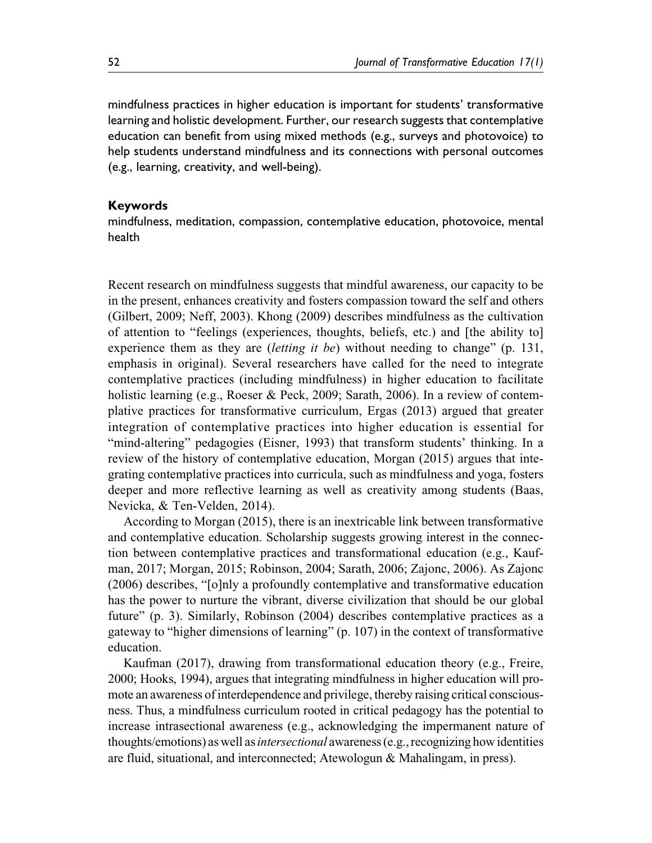mindfulness practices in higher education is important for students' transformative learning and holistic development. Further, our research suggests that contemplative education can benefit from using mixed methods (e.g., surveys and photovoice) to help students understand mindfulness and its connections with personal outcomes (e.g., learning, creativity, and well-being).

#### Keywords

mindfulness, meditation, compassion, contemplative education, photovoice, mental health

Recent research on mindfulness suggests that mindful awareness, our capacity to be in the present, enhances creativity and fosters compassion toward the self and others (Gilbert, 2009; Neff, 2003). Khong (2009) describes mindfulness as the cultivation of attention to "feelings (experiences, thoughts, beliefs, etc.) and [the ability to] experience them as they are *(letting it be)* without needing to change" (p. 131, emphasis in original). Several researchers have called for the need to integrate contemplative practices (including mindfulness) in higher education to facilitate holistic learning (e.g., Roeser & Peck, 2009; Sarath, 2006). In a review of contemplative practices for transformative curriculum, Ergas (2013) argued that greater integration of contemplative practices into higher education is essential for "mind-altering" pedagogies (Eisner, 1993) that transform students' thinking. In a review of the history of contemplative education, Morgan (2015) argues that integrating contemplative practices into curricula, such as mindfulness and yoga, fosters deeper and more reflective learning as well as creativity among students (Baas, Nevicka, & Ten-Velden, 2014).

According to Morgan (2015), there is an inextricable link between transformative and contemplative education. Scholarship suggests growing interest in the connection between contemplative practices and transformational education (e.g., Kaufman, 2017; Morgan, 2015; Robinson, 2004; Sarath, 2006; Zajonc, 2006). As Zajonc (2006) describes, "[o]nly a profoundly contemplative and transformative education has the power to nurture the vibrant, diverse civilization that should be our global future" (p. 3). Similarly, Robinson (2004) describes contemplative practices as a gateway to "higher dimensions of learning" (p. 107) in the context of transformative education.

Kaufman (2017), drawing from transformational education theory (e.g., Freire, 2000; Hooks, 1994), argues that integrating mindfulness in higher education will promote an awareness of interdependence and privilege, thereby raising critical consciousness. Thus, a mindfulness curriculum rooted in critical pedagogy has the potential to increase intrasectional awareness (e.g., acknowledging the impermanent nature of thoughts/emotions) as well as *intersectional* awareness (e.g., recognizing how identities are fluid, situational, and interconnected; Atewologun & Mahalingam, in press).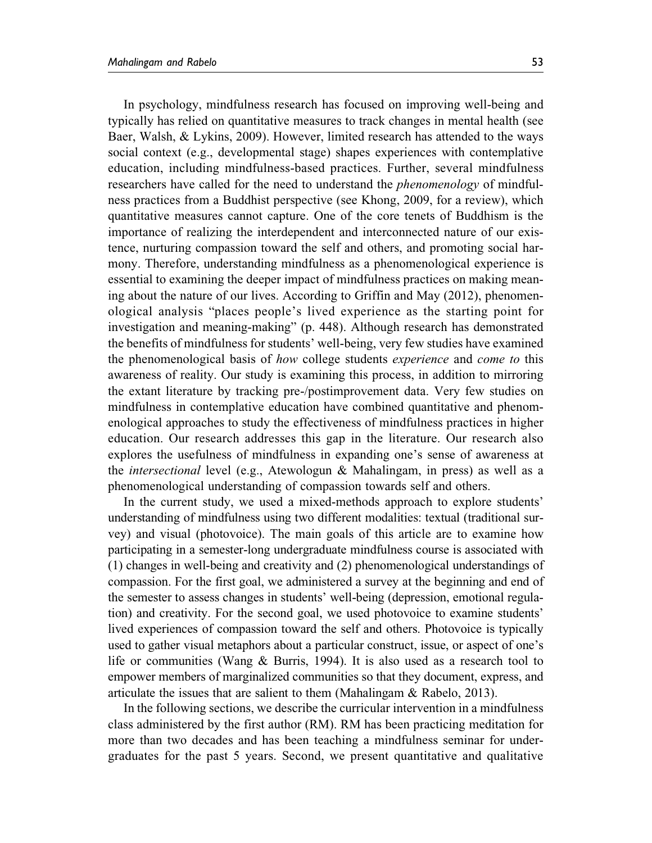In psychology, mindfulness research has focused on improving well-being and typically has relied on quantitative measures to track changes in mental health (see Baer, Walsh, & Lykins, 2009). However, limited research has attended to the ways social context (e.g., developmental stage) shapes experiences with contemplative education, including mindfulness-based practices. Further, several mindfulness researchers have called for the need to understand the phenomenology of mindfulness practices from a Buddhist perspective (see Khong, 2009, for a review), which quantitative measures cannot capture. One of the core tenets of Buddhism is the importance of realizing the interdependent and interconnected nature of our existence, nurturing compassion toward the self and others, and promoting social harmony. Therefore, understanding mindfulness as a phenomenological experience is essential to examining the deeper impact of mindfulness practices on making meaning about the nature of our lives. According to Griffin and May (2012), phenomenological analysis "places people's lived experience as the starting point for investigation and meaning-making" (p. 448). Although research has demonstrated the benefits of mindfulness for students' well-being, very few studies have examined the phenomenological basis of how college students experience and come to this awareness of reality. Our study is examining this process, in addition to mirroring the extant literature by tracking pre-/postimprovement data. Very few studies on mindfulness in contemplative education have combined quantitative and phenomenological approaches to study the effectiveness of mindfulness practices in higher education. Our research addresses this gap in the literature. Our research also explores the usefulness of mindfulness in expanding one's sense of awareness at the intersectional level (e.g., Atewologun & Mahalingam, in press) as well as a phenomenological understanding of compassion towards self and others.

In the current study, we used a mixed-methods approach to explore students' understanding of mindfulness using two different modalities: textual (traditional survey) and visual (photovoice). The main goals of this article are to examine how participating in a semester-long undergraduate mindfulness course is associated with (1) changes in well-being and creativity and (2) phenomenological understandings of compassion. For the first goal, we administered a survey at the beginning and end of the semester to assess changes in students' well-being (depression, emotional regulation) and creativity. For the second goal, we used photovoice to examine students' lived experiences of compassion toward the self and others. Photovoice is typically used to gather visual metaphors about a particular construct, issue, or aspect of one's life or communities (Wang & Burris, 1994). It is also used as a research tool to empower members of marginalized communities so that they document, express, and articulate the issues that are salient to them (Mahalingam & Rabelo, 2013).

In the following sections, we describe the curricular intervention in a mindfulness class administered by the first author (RM). RM has been practicing meditation for more than two decades and has been teaching a mindfulness seminar for undergraduates for the past 5 years. Second, we present quantitative and qualitative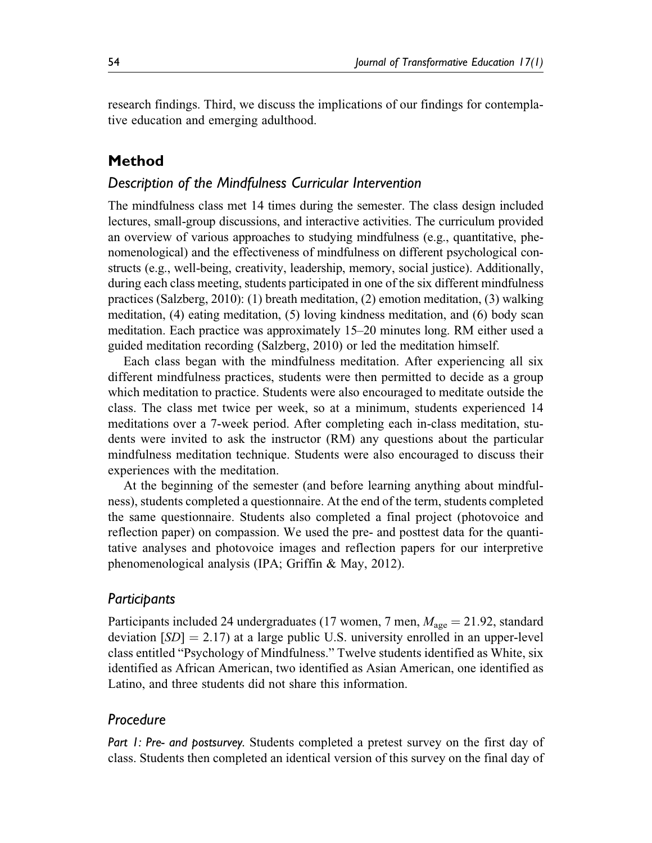research findings. Third, we discuss the implications of our findings for contemplative education and emerging adulthood.

# Method

### Description of the Mindfulness Curricular Intervention

The mindfulness class met 14 times during the semester. The class design included lectures, small-group discussions, and interactive activities. The curriculum provided an overview of various approaches to studying mindfulness (e.g., quantitative, phenomenological) and the effectiveness of mindfulness on different psychological constructs (e.g., well-being, creativity, leadership, memory, social justice). Additionally, during each class meeting, students participated in one of the six different mindfulness practices (Salzberg, 2010): (1) breath meditation, (2) emotion meditation, (3) walking meditation, (4) eating meditation, (5) loving kindness meditation, and (6) body scan meditation. Each practice was approximately 15–20 minutes long. RM either used a guided meditation recording (Salzberg, 2010) or led the meditation himself.

Each class began with the mindfulness meditation. After experiencing all six different mindfulness practices, students were then permitted to decide as a group which meditation to practice. Students were also encouraged to meditate outside the class. The class met twice per week, so at a minimum, students experienced 14 meditations over a 7-week period. After completing each in-class meditation, students were invited to ask the instructor (RM) any questions about the particular mindfulness meditation technique. Students were also encouraged to discuss their experiences with the meditation.

At the beginning of the semester (and before learning anything about mindfulness), students completed a questionnaire. At the end of the term, students completed the same questionnaire. Students also completed a final project (photovoice and reflection paper) on compassion. We used the pre- and posttest data for the quantitative analyses and photovoice images and reflection papers for our interpretive phenomenological analysis (IPA; Griffin & May, 2012).

#### **Participants**

Participants included 24 undergraduates (17 women, 7 men,  $M_{\text{age}} = 21.92$ , standard deviation  $[SD] = 2.17$ ) at a large public U.S. university enrolled in an upper-level class entitled "Psychology of Mindfulness." Twelve students identified as White, six identified as African American, two identified as Asian American, one identified as Latino, and three students did not share this information.

### Procedure

Part 1: Pre- and postsurvey. Students completed a pretest survey on the first day of class. Students then completed an identical version of this survey on the final day of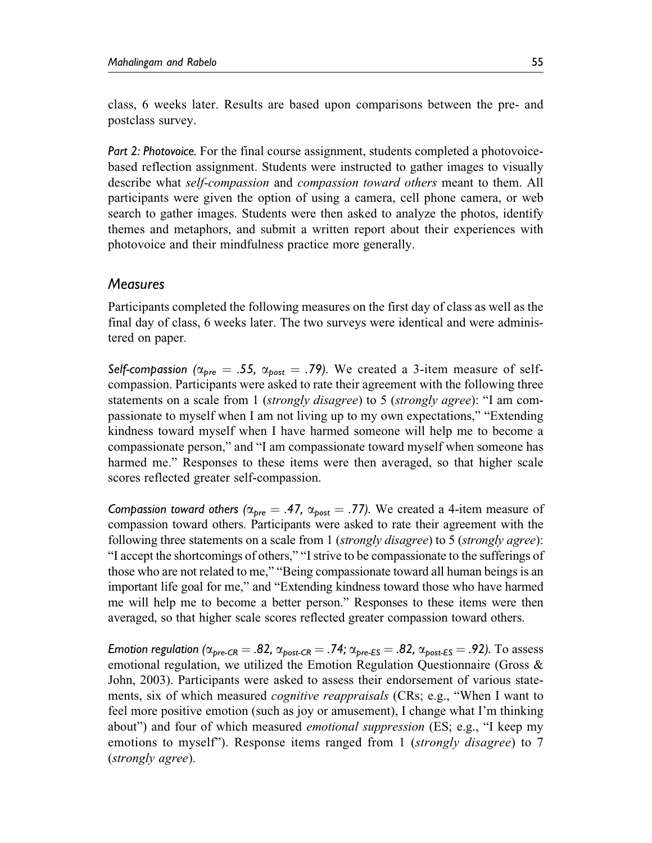class, 6 weeks later. Results are based upon comparisons between the pre- and postclass survey.

Part 2: Photovoice. For the final course assignment, students completed a photovoicebased reflection assignment. Students were instructed to gather images to visually describe what self-compassion and compassion toward others meant to them. All participants were given the option of using a camera, cell phone camera, or web search to gather images. Students were then asked to analyze the photos, identify themes and metaphors, and submit a written report about their experiences with photovoice and their mindfulness practice more generally.

### **Measures**

Participants completed the following measures on the first day of class as well as the final day of class, 6 weeks later. The two surveys were identical and were administered on paper.

Self-compassion ( $\alpha_{pre} = .55$ ,  $\alpha_{post} = .79$ ). We created a 3-item measure of selfcompassion. Participants were asked to rate their agreement with the following three statements on a scale from 1 (*strongly disagree*) to 5 (*strongly agree*): "I am compassionate to myself when I am not living up to my own expectations," "Extending kindness toward myself when I have harmed someone will help me to become a compassionate person," and "I am compassionate toward myself when someone has harmed me." Responses to these items were then averaged, so that higher scale scores reflected greater self-compassion.

Compassion toward others ( $\alpha_{pre} = .47$ ,  $\alpha_{post} = .77$ ). We created a 4-item measure of compassion toward others. Participants were asked to rate their agreement with the following three statements on a scale from 1 (strongly disagree) to 5 (strongly agree): "I accept the shortcomings of others," "I strive to be compassionate to the sufferings of those who are not related to me," "Being compassionate toward all human beings is an important life goal for me," and "Extending kindness toward those who have harmed me will help me to become a better person." Responses to these items were then averaged, so that higher scale scores reflected greater compassion toward others.

Emotion regulation ( $\alpha_{bre-CR} = .82$ ,  $\alpha_{post-CR} = .74$ ;  $\alpha_{bre-ES} = .82$ ,  $\alpha_{post-ES} = .92$ ). To assess emotional regulation, we utilized the Emotion Regulation Questionnaire (Gross & John, 2003). Participants were asked to assess their endorsement of various statements, six of which measured cognitive reappraisals (CRs; e.g., "When I want to feel more positive emotion (such as joy or amusement), I change what I'm thinking about") and four of which measured *emotional suppression* (ES; e.g., "I keep my emotions to myself"). Response items ranged from 1 *(strongly disagree)* to 7 (strongly agree).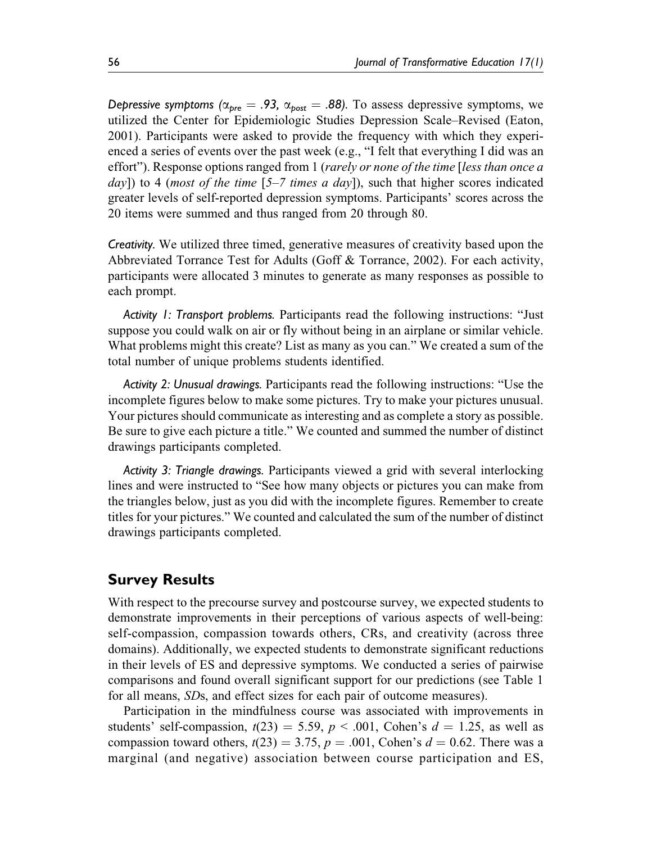Depressive symptoms ( $\alpha_{\text{bre}} = .93$ ,  $\alpha_{\text{post}} = .88$ ). To assess depressive symptoms, we utilized the Center for Epidemiologic Studies Depression Scale–Revised (Eaton, 2001). Participants were asked to provide the frequency with which they experienced a series of events over the past week (e.g., "I felt that everything I did was an effort"). Response options ranged from 1 (rarely or none of the time [less than once a day]) to 4 (most of the time  $[5-7$  times a day]), such that higher scores indicated greater levels of self-reported depression symptoms. Participants' scores across the 20 items were summed and thus ranged from 20 through 80.

Creativity. We utilized three timed, generative measures of creativity based upon the Abbreviated Torrance Test for Adults (Goff & Torrance, 2002). For each activity, participants were allocated 3 minutes to generate as many responses as possible to each prompt.

Activity 1: Transport problems. Participants read the following instructions: "Just suppose you could walk on air or fly without being in an airplane or similar vehicle. What problems might this create? List as many as you can." We created a sum of the total number of unique problems students identified.

Activity 2: Unusual drawings. Participants read the following instructions: "Use the incomplete figures below to make some pictures. Try to make your pictures unusual. Your pictures should communicate as interesting and as complete a story as possible. Be sure to give each picture a title." We counted and summed the number of distinct drawings participants completed.

Activity 3: Triangle drawings. Participants viewed a grid with several interlocking lines and were instructed to "See how many objects or pictures you can make from the triangles below, just as you did with the incomplete figures. Remember to create titles for your pictures." We counted and calculated the sum of the number of distinct drawings participants completed.

## Survey Results

With respect to the precourse survey and postcourse survey, we expected students to demonstrate improvements in their perceptions of various aspects of well-being: self-compassion, compassion towards others, CRs, and creativity (across three domains). Additionally, we expected students to demonstrate significant reductions in their levels of ES and depressive symptoms. We conducted a series of pairwise comparisons and found overall significant support for our predictions (see Table 1 for all means, SDs, and effect sizes for each pair of outcome measures).

Participation in the mindfulness course was associated with improvements in students' self-compassion,  $t(23) = 5.59$ ,  $p < .001$ , Cohen's  $d = 1.25$ , as well as compassion toward others,  $t(23) = 3.75$ ,  $p = .001$ , Cohen's  $d = 0.62$ . There was a marginal (and negative) association between course participation and ES,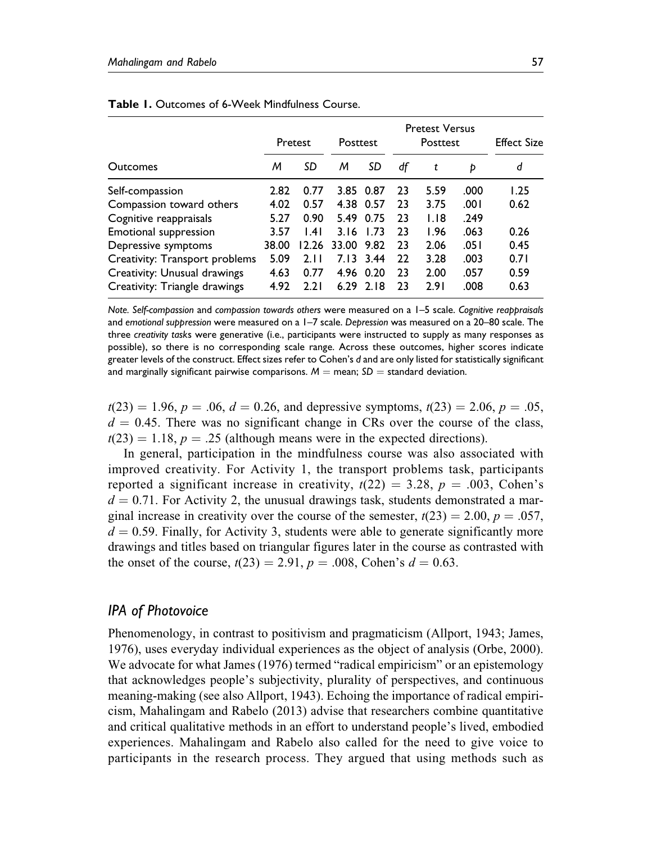|                                | Pretest |                 | Posttest  |            | <b>Pretest Versus</b><br>Posttest |             |      | <b>Effect Size</b> |
|--------------------------------|---------|-----------------|-----------|------------|-----------------------------------|-------------|------|--------------------|
| <b>Outcomes</b>                | м       | SD              | м         | SD         | df                                | t           | Þ    | d                  |
| Self-compassion                | 2.82    | 0.77            | 3.85      | 0.87       | 23                                | 5.59        | .000 | 1.25               |
| Compassion toward others       | 4.02    | 0.57            | 4.38 0.57 |            | 23                                | 3.75        | .001 | 0.62               |
| Cognitive reappraisals         | 5.27    | 0.90            |           | 5.49 0.75  | 23                                | 1.18        | .249 |                    |
| <b>Emotional suppression</b>   | 3.57    | $\vert A \vert$ | 3.16      | <b>LZ3</b> | 23                                | <b>1.96</b> | .063 | 0.26               |
| Depressive symptoms            | 38.00   | 12.26           | 33.00     | 9.82       | 23                                | 2.06        | .051 | 0.45               |
| Creativity: Transport problems | 5.09    | 2.LL            | 7.13      | 3.44       | 22                                | 3.28        | .003 | 0.71               |
| Creativity: Unusual drawings   | 4.63    | 0.77            | 4.96      | 0.20       | 23                                | 2.00        | .057 | 0.59               |
| Creativity: Triangle drawings  | 4.92    | 2.21            | 6.29      | 2.18       | 23                                | 2.91        | .008 | 0.63               |

Table 1. Outcomes of 6-Week Mindfulness Course.

Note. Self-compassion and compassion towards others were measured on a 1–5 scale. Cognitive reappraisals and emotional suppression were measured on a 1–7 scale. Depression was measured on a 20–80 scale. The three creativity tasks were generative (i.e., participants were instructed to supply as many responses as possible), so there is no corresponding scale range. Across these outcomes, higher scores indicate greater levels of the construct. Effect sizes refer to Cohen's d and are only listed for statistically significant and marginally significant pairwise comparisons.  $M =$  mean;  $SD =$  standard deviation.

 $t(23) = 1.96$ ,  $p = .06$ ,  $d = 0.26$ , and depressive symptoms,  $t(23) = 2.06$ ,  $p = .05$ ,  $d = 0.45$ . There was no significant change in CRs over the course of the class,  $t(23) = 1.18$ ,  $p = .25$  (although means were in the expected directions).

In general, participation in the mindfulness course was also associated with improved creativity. For Activity 1, the transport problems task, participants reported a significant increase in creativity,  $t(22) = 3.28$ ,  $p = .003$ , Cohen's  $d = 0.71$ . For Activity 2, the unusual drawings task, students demonstrated a marginal increase in creativity over the course of the semester,  $t(23) = 2.00$ ,  $p = .057$ .  $d = 0.59$ . Finally, for Activity 3, students were able to generate significantly more drawings and titles based on triangular figures later in the course as contrasted with the onset of the course,  $t(23) = 2.91$ ,  $p = .008$ , Cohen's  $d = 0.63$ .

## IPA of Photovoice

Phenomenology, in contrast to positivism and pragmaticism (Allport, 1943; James, 1976), uses everyday individual experiences as the object of analysis (Orbe, 2000). We advocate for what James (1976) termed "radical empiricism" or an epistemology that acknowledges people's subjectivity, plurality of perspectives, and continuous meaning-making (see also Allport, 1943). Echoing the importance of radical empiricism, Mahalingam and Rabelo (2013) advise that researchers combine quantitative and critical qualitative methods in an effort to understand people's lived, embodied experiences. Mahalingam and Rabelo also called for the need to give voice to participants in the research process. They argued that using methods such as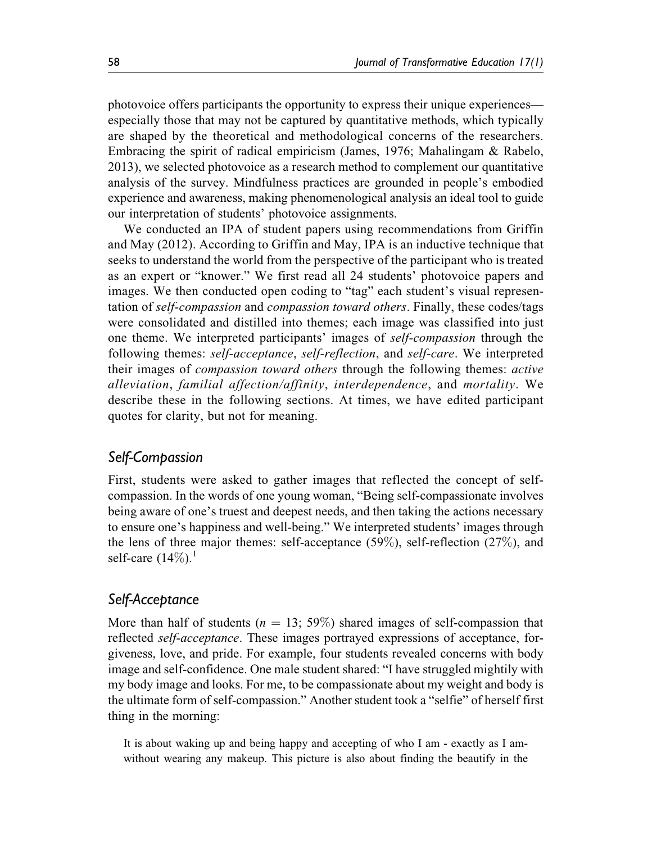photovoice offers participants the opportunity to express their unique experiences especially those that may not be captured by quantitative methods, which typically are shaped by the theoretical and methodological concerns of the researchers. Embracing the spirit of radical empiricism (James, 1976; Mahalingam & Rabelo, 2013), we selected photovoice as a research method to complement our quantitative analysis of the survey. Mindfulness practices are grounded in people's embodied experience and awareness, making phenomenological analysis an ideal tool to guide our interpretation of students' photovoice assignments.

We conducted an IPA of student papers using recommendations from Griffin and May (2012). According to Griffin and May, IPA is an inductive technique that seeks to understand the world from the perspective of the participant who is treated as an expert or "knower." We first read all 24 students' photovoice papers and images. We then conducted open coding to "tag" each student's visual representation of self-compassion and compassion toward others. Finally, these codes/tags were consolidated and distilled into themes; each image was classified into just one theme. We interpreted participants' images of self-compassion through the following themes: self-acceptance, self-reflection, and self-care. We interpreted their images of compassion toward others through the following themes: active alleviation, familial affection/affinity, interdependence, and mortality. We describe these in the following sections. At times, we have edited participant quotes for clarity, but not for meaning.

# Self-Compassion

First, students were asked to gather images that reflected the concept of selfcompassion. In the words of one young woman, "Being self-compassionate involves being aware of one's truest and deepest needs, and then taking the actions necessary to ensure one's happiness and well-being." We interpreted students' images through the lens of three major themes: self-acceptance (59%), self-reflection (27%), and self-care  $(14\%)$ <sup>1</sup>

#### Self-Acceptance

More than half of students ( $n = 13$ ; 59%) shared images of self-compassion that reflected self-acceptance. These images portrayed expressions of acceptance, forgiveness, love, and pride. For example, four students revealed concerns with body image and self-confidence. One male student shared: "I have struggled mightily with my body image and looks. For me, to be compassionate about my weight and body is the ultimate form of self-compassion." Another student took a "selfie" of herself first thing in the morning:

It is about waking up and being happy and accepting of who I am - exactly as I amwithout wearing any makeup. This picture is also about finding the beautify in the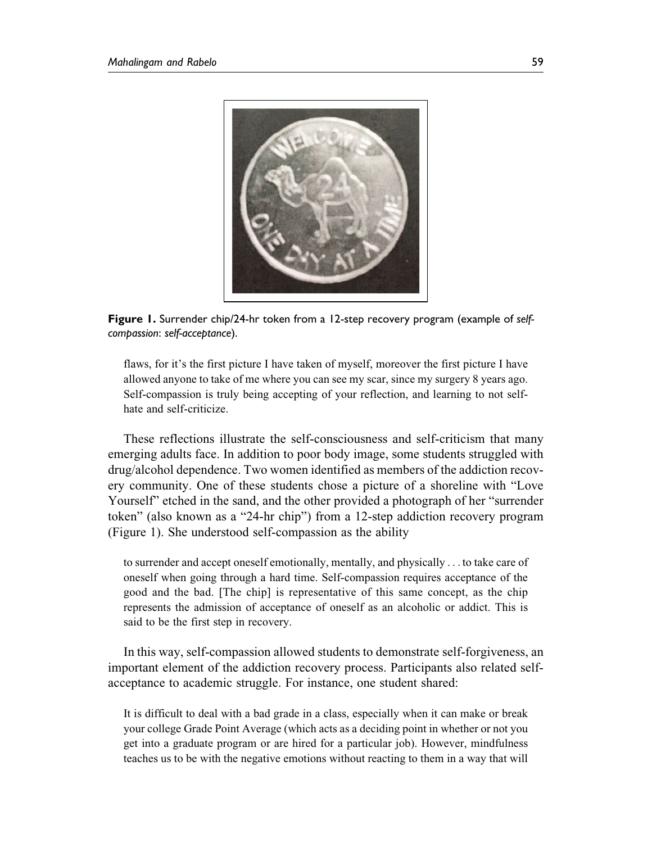

Figure 1. Surrender chip/24-hr token from a 12-step recovery program (example of selfcompassion: self-acceptance).

flaws, for it's the first picture I have taken of myself, moreover the first picture I have allowed anyone to take of me where you can see my scar, since my surgery 8 years ago. Self-compassion is truly being accepting of your reflection, and learning to not selfhate and self-criticize.

These reflections illustrate the self-consciousness and self-criticism that many emerging adults face. In addition to poor body image, some students struggled with drug/alcohol dependence. Two women identified as members of the addiction recovery community. One of these students chose a picture of a shoreline with "Love Yourself" etched in the sand, and the other provided a photograph of her "surrender token" (also known as a "24-hr chip") from a 12-step addiction recovery program (Figure 1). She understood self-compassion as the ability

to surrender and accept oneself emotionally, mentally, and physically ... to take care of oneself when going through a hard time. Self-compassion requires acceptance of the good and the bad. [The chip] is representative of this same concept, as the chip represents the admission of acceptance of oneself as an alcoholic or addict. This is said to be the first step in recovery.

In this way, self-compassion allowed students to demonstrate self-forgiveness, an important element of the addiction recovery process. Participants also related selfacceptance to academic struggle. For instance, one student shared:

It is difficult to deal with a bad grade in a class, especially when it can make or break your college Grade Point Average (which acts as a deciding point in whether or not you get into a graduate program or are hired for a particular job). However, mindfulness teaches us to be with the negative emotions without reacting to them in a way that will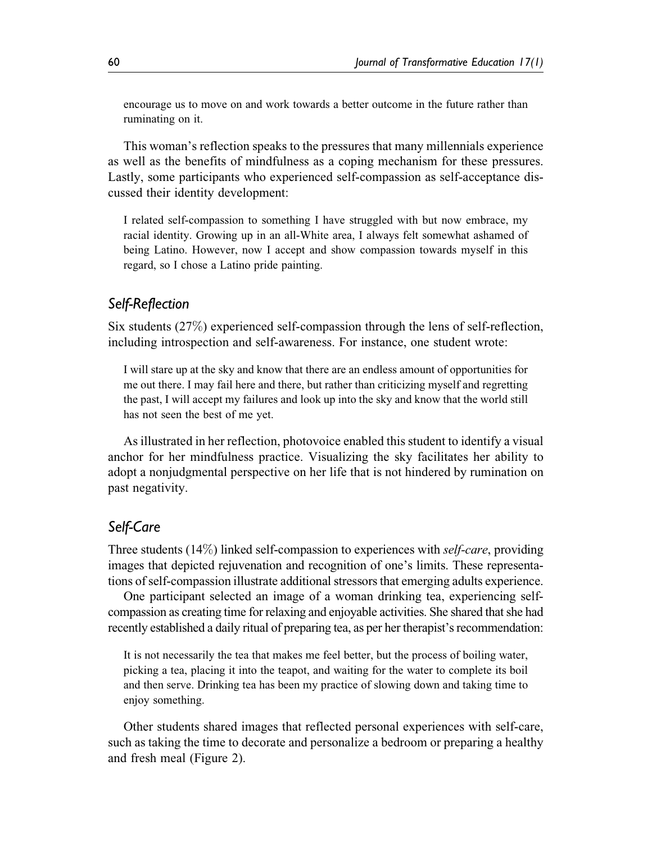encourage us to move on and work towards a better outcome in the future rather than ruminating on it.

This woman's reflection speaks to the pressures that many millennials experience as well as the benefits of mindfulness as a coping mechanism for these pressures. Lastly, some participants who experienced self-compassion as self-acceptance discussed their identity development:

I related self-compassion to something I have struggled with but now embrace, my racial identity. Growing up in an all-White area, I always felt somewhat ashamed of being Latino. However, now I accept and show compassion towards myself in this regard, so I chose a Latino pride painting.

## Self-Reflection

Six students (27%) experienced self-compassion through the lens of self-reflection, including introspection and self-awareness. For instance, one student wrote:

I will stare up at the sky and know that there are an endless amount of opportunities for me out there. I may fail here and there, but rather than criticizing myself and regretting the past, I will accept my failures and look up into the sky and know that the world still has not seen the best of me yet.

As illustrated in her reflection, photovoice enabled this student to identify a visual anchor for her mindfulness practice. Visualizing the sky facilitates her ability to adopt a nonjudgmental perspective on her life that is not hindered by rumination on past negativity.

## Self-Care

Three students (14%) linked self-compassion to experiences with self-care, providing images that depicted rejuvenation and recognition of one's limits. These representations of self-compassion illustrate additional stressors that emerging adults experience.

One participant selected an image of a woman drinking tea, experiencing selfcompassion as creating time for relaxing and enjoyable activities. She shared that she had recently established a daily ritual of preparing tea, as per her therapist's recommendation:

It is not necessarily the tea that makes me feel better, but the process of boiling water, picking a tea, placing it into the teapot, and waiting for the water to complete its boil and then serve. Drinking tea has been my practice of slowing down and taking time to enjoy something.

Other students shared images that reflected personal experiences with self-care, such as taking the time to decorate and personalize a bedroom or preparing a healthy and fresh meal (Figure 2).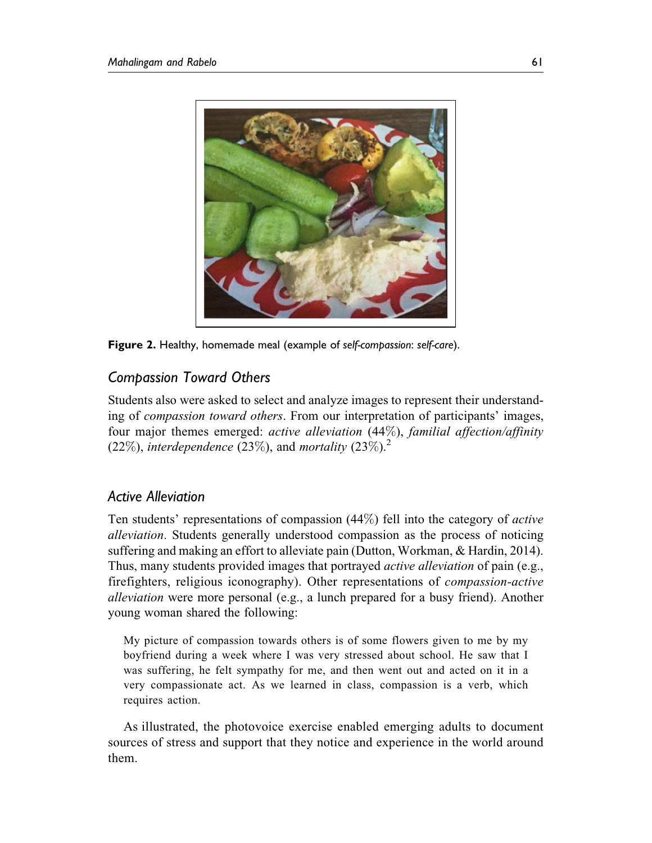

Figure 2. Healthy, homemade meal (example of self-compassion: self-care).

# Compassion Toward Others

Students also were asked to select and analyze images to represent their understanding of compassion toward others. From our interpretation of participants' images, four major themes emerged: active alleviation (44%), familial affection/affinity (22%), interdependence (23%), and mortality (23%).<sup>2</sup>

# Active Alleviation

Ten students' representations of compassion (44%) fell into the category of active alleviation. Students generally understood compassion as the process of noticing suffering and making an effort to alleviate pain (Dutton, Workman, & Hardin, 2014). Thus, many students provided images that portrayed active alleviation of pain (e.g., firefighters, religious iconography). Other representations of compassion-active alleviation were more personal (e.g., a lunch prepared for a busy friend). Another young woman shared the following:

My picture of compassion towards others is of some flowers given to me by my boyfriend during a week where I was very stressed about school. He saw that I was suffering, he felt sympathy for me, and then went out and acted on it in a very compassionate act. As we learned in class, compassion is a verb, which requires action.

As illustrated, the photovoice exercise enabled emerging adults to document sources of stress and support that they notice and experience in the world around them.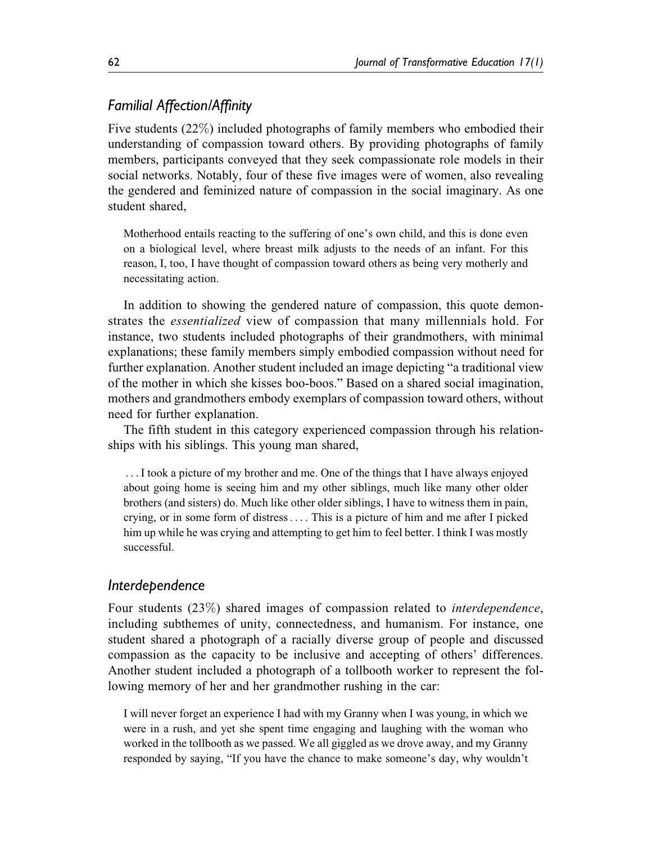## Familial Affection/Affinity

Five students (22%) included photographs of family members who embodied their understanding of compassion toward others. By providing photographs of family members, participants conveyed that they seek compassionate role models in their social networks. Notably, four of these five images were of women, also revealing the gendered and feminized nature of compassion in the social imaginary. As one student shared,

Motherhood entails reacting to the suffering of one's own child, and this is done even on a biological level, where breast milk adjusts to the needs of an infant. For this reason, I, too, I have thought of compassion toward others as being very motherly and necessitating action.

In addition to showing the gendered nature of compassion, this quote demonstrates the essentialized view of compassion that many millennials hold. For instance, two students included photographs of their grandmothers, with minimal explanations; these family members simply embodied compassion without need for further explanation. Another student included an image depicting "a traditional view of the mother in which she kisses boo-boos." Based on a shared social imagination, mothers and grandmothers embody exemplars of compassion toward others, without need for further explanation.

The fifth student in this category experienced compassion through his relationships with his siblings. This young man shared,

... I took a picture of my brother and me. One of the things that I have always enjoyed about going home is seeing him and my other siblings, much like many other older brothers (and sisters) do. Much like other older siblings, I have to witness them in pain, crying, or in some form of distress... . This is a picture of him and me after I picked him up while he was crying and attempting to get him to feel better. I think I was mostly successful.

## Interdependence

Four students (23%) shared images of compassion related to interdependence, including subthemes of unity, connectedness, and humanism. For instance, one student shared a photograph of a racially diverse group of people and discussed compassion as the capacity to be inclusive and accepting of others' differences. Another student included a photograph of a tollbooth worker to represent the following memory of her and her grandmother rushing in the car:

I will never forget an experience I had with my Granny when I was young, in which we were in a rush, and yet she spent time engaging and laughing with the woman who worked in the tollbooth as we passed. We all giggled as we drove away, and my Granny responded by saying, "If you have the chance to make someone's day, why wouldn't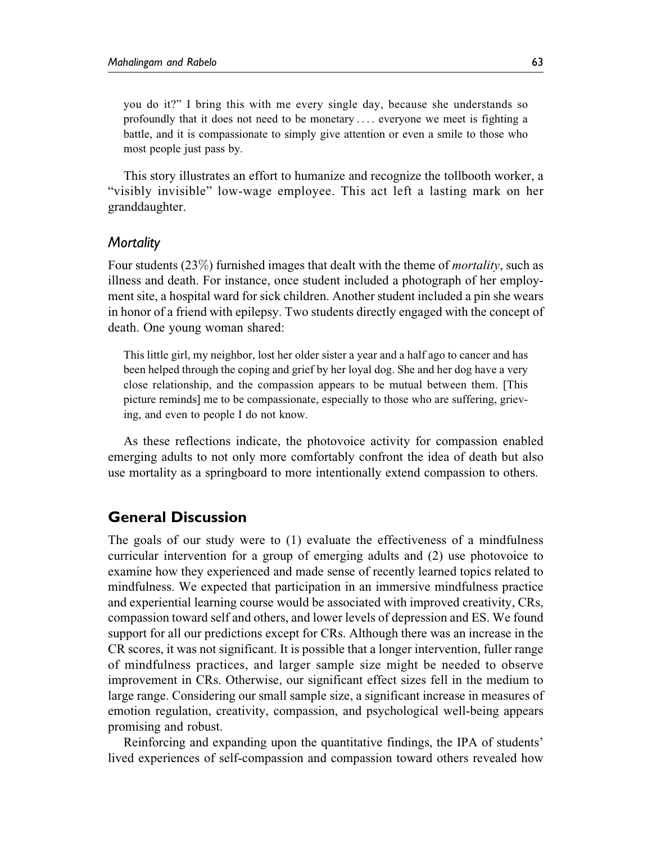you do it?" I bring this with me every single day, because she understands so profoundly that it does not need to be monetary ... . everyone we meet is fighting a battle, and it is compassionate to simply give attention or even a smile to those who most people just pass by.

This story illustrates an effort to humanize and recognize the tollbooth worker, a "visibly invisible" low-wage employee. This act left a lasting mark on her granddaughter.

#### **Mortality**

Four students (23%) furnished images that dealt with the theme of mortality, such as illness and death. For instance, once student included a photograph of her employment site, a hospital ward for sick children. Another student included a pin she wears in honor of a friend with epilepsy. Two students directly engaged with the concept of death. One young woman shared:

This little girl, my neighbor, lost her older sister a year and a half ago to cancer and has been helped through the coping and grief by her loyal dog. She and her dog have a very close relationship, and the compassion appears to be mutual between them. [This picture reminds] me to be compassionate, especially to those who are suffering, grieving, and even to people I do not know.

As these reflections indicate, the photovoice activity for compassion enabled emerging adults to not only more comfortably confront the idea of death but also use mortality as a springboard to more intentionally extend compassion to others.

## General Discussion

The goals of our study were to (1) evaluate the effectiveness of a mindfulness curricular intervention for a group of emerging adults and (2) use photovoice to examine how they experienced and made sense of recently learned topics related to mindfulness. We expected that participation in an immersive mindfulness practice and experiential learning course would be associated with improved creativity, CRs, compassion toward self and others, and lower levels of depression and ES. We found support for all our predictions except for CRs. Although there was an increase in the CR scores, it was not significant. It is possible that a longer intervention, fuller range of mindfulness practices, and larger sample size might be needed to observe improvement in CRs. Otherwise, our significant effect sizes fell in the medium to large range. Considering our small sample size, a significant increase in measures of emotion regulation, creativity, compassion, and psychological well-being appears promising and robust.

Reinforcing and expanding upon the quantitative findings, the IPA of students' lived experiences of self-compassion and compassion toward others revealed how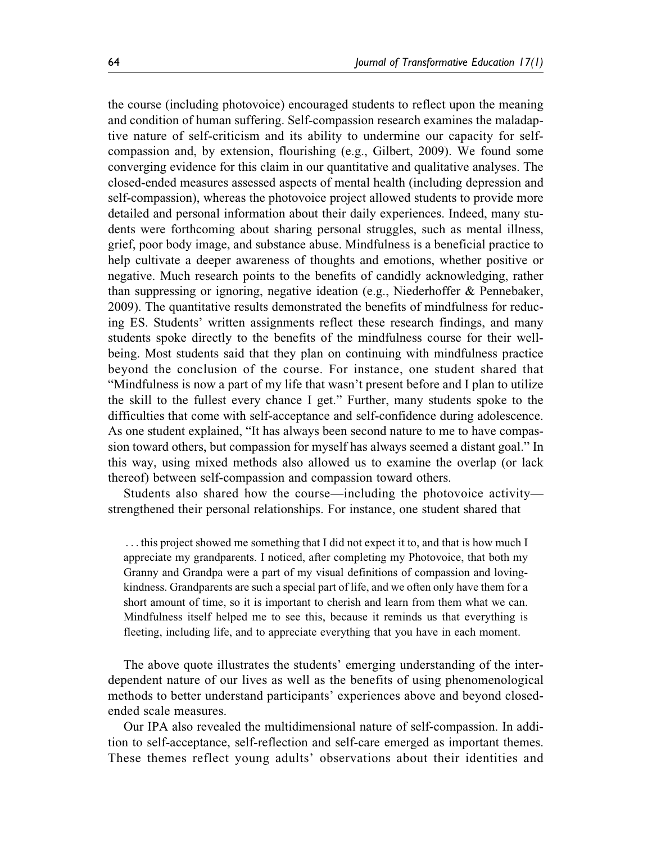the course (including photovoice) encouraged students to reflect upon the meaning and condition of human suffering. Self-compassion research examines the maladaptive nature of self-criticism and its ability to undermine our capacity for selfcompassion and, by extension, flourishing (e.g., Gilbert, 2009). We found some converging evidence for this claim in our quantitative and qualitative analyses. The closed-ended measures assessed aspects of mental health (including depression and self-compassion), whereas the photovoice project allowed students to provide more detailed and personal information about their daily experiences. Indeed, many students were forthcoming about sharing personal struggles, such as mental illness, grief, poor body image, and substance abuse. Mindfulness is a beneficial practice to help cultivate a deeper awareness of thoughts and emotions, whether positive or negative. Much research points to the benefits of candidly acknowledging, rather than suppressing or ignoring, negative ideation (e.g., Niederhoffer & Pennebaker, 2009). The quantitative results demonstrated the benefits of mindfulness for reducing ES. Students' written assignments reflect these research findings, and many students spoke directly to the benefits of the mindfulness course for their wellbeing. Most students said that they plan on continuing with mindfulness practice beyond the conclusion of the course. For instance, one student shared that "Mindfulness is now a part of my life that wasn't present before and I plan to utilize the skill to the fullest every chance I get." Further, many students spoke to the difficulties that come with self-acceptance and self-confidence during adolescence. As one student explained, "It has always been second nature to me to have compassion toward others, but compassion for myself has always seemed a distant goal." In this way, using mixed methods also allowed us to examine the overlap (or lack thereof) between self-compassion and compassion toward others.

Students also shared how the course—including the photovoice activity strengthened their personal relationships. For instance, one student shared that

... this project showed me something that I did not expect it to, and that is how much I appreciate my grandparents. I noticed, after completing my Photovoice, that both my Granny and Grandpa were a part of my visual definitions of compassion and lovingkindness. Grandparents are such a special part of life, and we often only have them for a short amount of time, so it is important to cherish and learn from them what we can. Mindfulness itself helped me to see this, because it reminds us that everything is fleeting, including life, and to appreciate everything that you have in each moment.

The above quote illustrates the students' emerging understanding of the interdependent nature of our lives as well as the benefits of using phenomenological methods to better understand participants' experiences above and beyond closedended scale measures.

Our IPA also revealed the multidimensional nature of self-compassion. In addition to self-acceptance, self-reflection and self-care emerged as important themes. These themes reflect young adults' observations about their identities and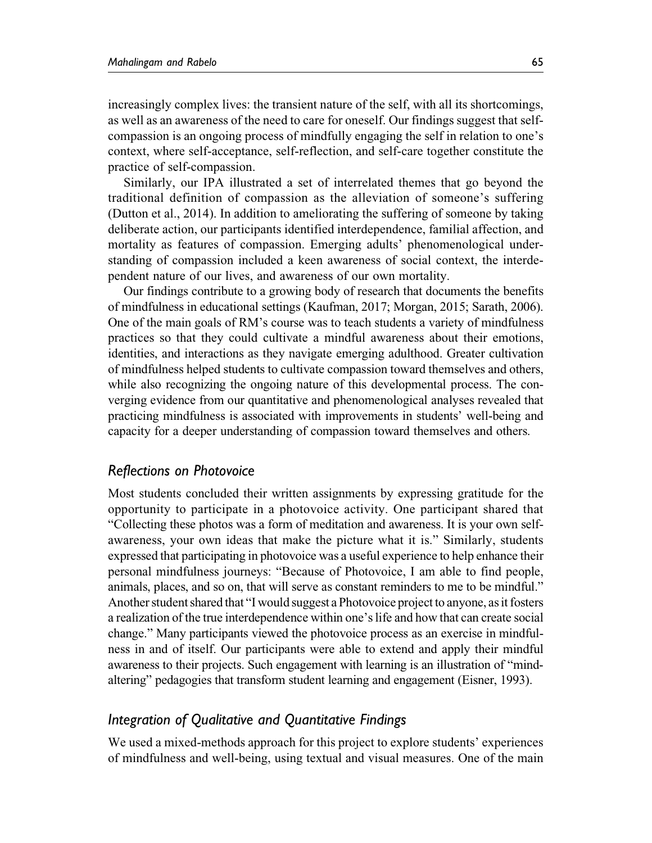increasingly complex lives: the transient nature of the self, with all its shortcomings, as well as an awareness of the need to care for oneself. Our findings suggest that selfcompassion is an ongoing process of mindfully engaging the self in relation to one's context, where self-acceptance, self-reflection, and self-care together constitute the practice of self-compassion.

Similarly, our IPA illustrated a set of interrelated themes that go beyond the traditional definition of compassion as the alleviation of someone's suffering (Dutton et al., 2014). In addition to ameliorating the suffering of someone by taking deliberate action, our participants identified interdependence, familial affection, and mortality as features of compassion. Emerging adults' phenomenological understanding of compassion included a keen awareness of social context, the interdependent nature of our lives, and awareness of our own mortality.

Our findings contribute to a growing body of research that documents the benefits of mindfulness in educational settings (Kaufman, 2017; Morgan, 2015; Sarath, 2006). One of the main goals of RM's course was to teach students a variety of mindfulness practices so that they could cultivate a mindful awareness about their emotions, identities, and interactions as they navigate emerging adulthood. Greater cultivation of mindfulness helped students to cultivate compassion toward themselves and others, while also recognizing the ongoing nature of this developmental process. The converging evidence from our quantitative and phenomenological analyses revealed that practicing mindfulness is associated with improvements in students' well-being and capacity for a deeper understanding of compassion toward themselves and others.

#### Reflections on Photovoice

Most students concluded their written assignments by expressing gratitude for the opportunity to participate in a photovoice activity. One participant shared that "Collecting these photos was a form of meditation and awareness. It is your own selfawareness, your own ideas that make the picture what it is." Similarly, students expressed that participating in photovoice was a useful experience to help enhance their personal mindfulness journeys: "Because of Photovoice, I am able to find people, animals, places, and so on, that will serve as constant reminders to me to be mindful." Another student shared that "I would suggest a Photovoice project to anyone, as it fosters a realization of the true interdependence within one's life and how that can create social change." Many participants viewed the photovoice process as an exercise in mindfulness in and of itself. Our participants were able to extend and apply their mindful awareness to their projects. Such engagement with learning is an illustration of "mindaltering" pedagogies that transform student learning and engagement (Eisner, 1993).

## Integration of Qualitative and Quantitative Findings

We used a mixed-methods approach for this project to explore students' experiences of mindfulness and well-being, using textual and visual measures. One of the main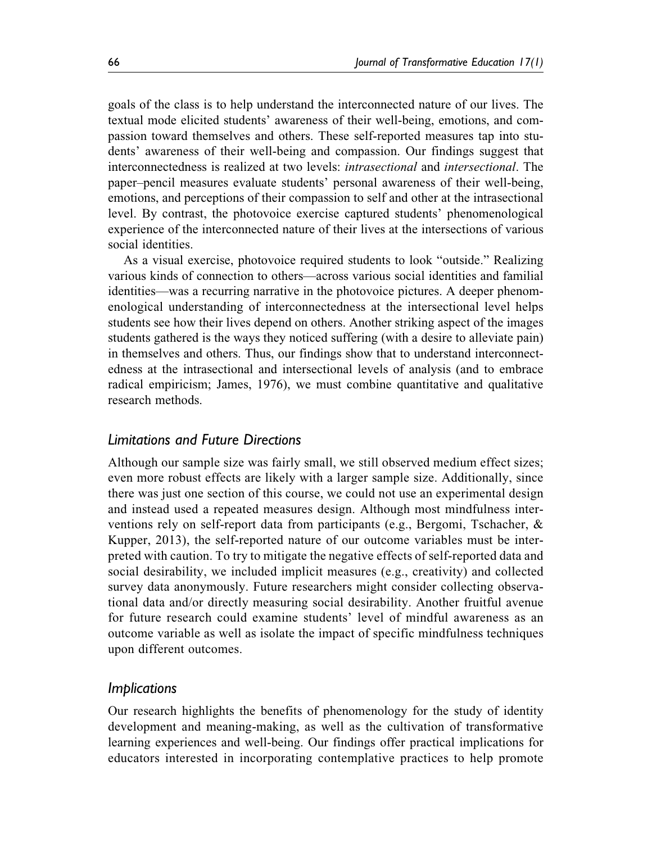goals of the class is to help understand the interconnected nature of our lives. The textual mode elicited students' awareness of their well-being, emotions, and compassion toward themselves and others. These self-reported measures tap into students' awareness of their well-being and compassion. Our findings suggest that interconnectedness is realized at two levels: intrasectional and intersectional. The paper–pencil measures evaluate students' personal awareness of their well-being, emotions, and perceptions of their compassion to self and other at the intrasectional level. By contrast, the photovoice exercise captured students' phenomenological experience of the interconnected nature of their lives at the intersections of various social identities.

As a visual exercise, photovoice required students to look "outside." Realizing various kinds of connection to others—across various social identities and familial identities—was a recurring narrative in the photovoice pictures. A deeper phenomenological understanding of interconnectedness at the intersectional level helps students see how their lives depend on others. Another striking aspect of the images students gathered is the ways they noticed suffering (with a desire to alleviate pain) in themselves and others. Thus, our findings show that to understand interconnectedness at the intrasectional and intersectional levels of analysis (and to embrace radical empiricism; James, 1976), we must combine quantitative and qualitative research methods.

## Limitations and Future Directions

Although our sample size was fairly small, we still observed medium effect sizes; even more robust effects are likely with a larger sample size. Additionally, since there was just one section of this course, we could not use an experimental design and instead used a repeated measures design. Although most mindfulness interventions rely on self-report data from participants (e.g., Bergomi, Tschacher, & Kupper, 2013), the self-reported nature of our outcome variables must be interpreted with caution. To try to mitigate the negative effects of self-reported data and social desirability, we included implicit measures (e.g., creativity) and collected survey data anonymously. Future researchers might consider collecting observational data and/or directly measuring social desirability. Another fruitful avenue for future research could examine students' level of mindful awareness as an outcome variable as well as isolate the impact of specific mindfulness techniques upon different outcomes.

#### **Implications**

Our research highlights the benefits of phenomenology for the study of identity development and meaning-making, as well as the cultivation of transformative learning experiences and well-being. Our findings offer practical implications for educators interested in incorporating contemplative practices to help promote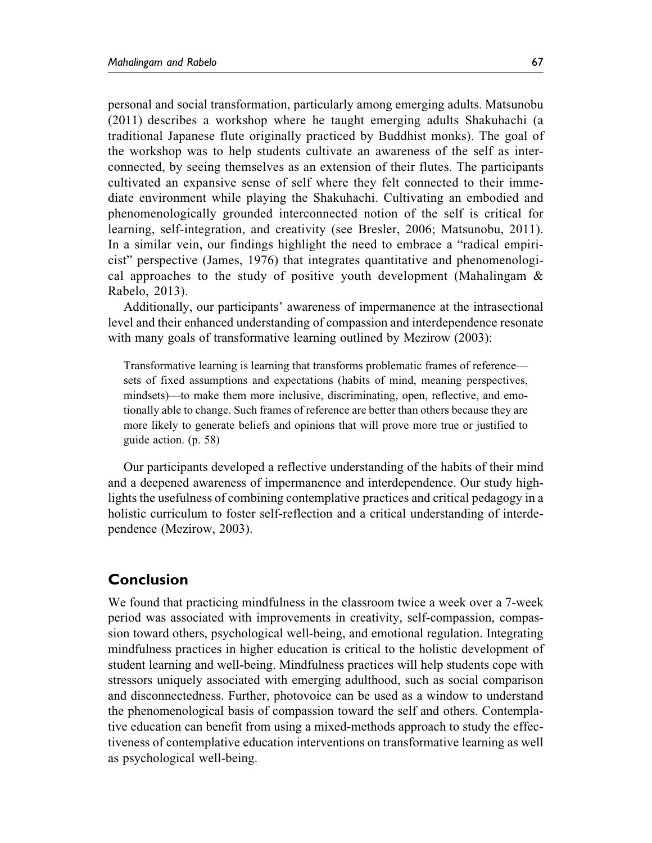personal and social transformation, particularly among emerging adults. Matsunobu (2011) describes a workshop where he taught emerging adults Shakuhachi (a traditional Japanese flute originally practiced by Buddhist monks). The goal of the workshop was to help students cultivate an awareness of the self as interconnected, by seeing themselves as an extension of their flutes. The participants cultivated an expansive sense of self where they felt connected to their immediate environment while playing the Shakuhachi. Cultivating an embodied and phenomenologically grounded interconnected notion of the self is critical for learning, self-integration, and creativity (see Bresler, 2006; Matsunobu, 2011). In a similar vein, our findings highlight the need to embrace a "radical empiricist" perspective (James, 1976) that integrates quantitative and phenomenological approaches to the study of positive youth development (Mahalingam & Rabelo, 2013).

Additionally, our participants' awareness of impermanence at the intrasectional level and their enhanced understanding of compassion and interdependence resonate with many goals of transformative learning outlined by Mezirow (2003):

Transformative learning is learning that transforms problematic frames of reference sets of fixed assumptions and expectations (habits of mind, meaning perspectives, mindsets)—to make them more inclusive, discriminating, open, reflective, and emotionally able to change. Such frames of reference are better than others because they are more likely to generate beliefs and opinions that will prove more true or justified to guide action. (p. 58)

Our participants developed a reflective understanding of the habits of their mind and a deepened awareness of impermanence and interdependence. Our study highlights the usefulness of combining contemplative practices and critical pedagogy in a holistic curriculum to foster self-reflection and a critical understanding of interdependence (Mezirow, 2003).

# Conclusion

We found that practicing mindfulness in the classroom twice a week over a 7-week period was associated with improvements in creativity, self-compassion, compassion toward others, psychological well-being, and emotional regulation. Integrating mindfulness practices in higher education is critical to the holistic development of student learning and well-being. Mindfulness practices will help students cope with stressors uniquely associated with emerging adulthood, such as social comparison and disconnectedness. Further, photovoice can be used as a window to understand the phenomenological basis of compassion toward the self and others. Contemplative education can benefit from using a mixed-methods approach to study the effectiveness of contemplative education interventions on transformative learning as well as psychological well-being.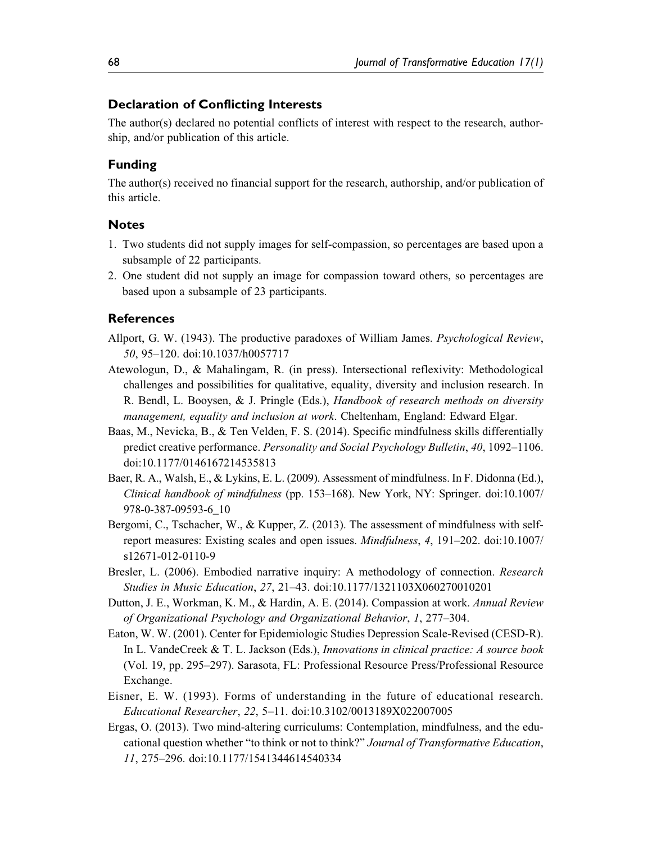#### Declaration of Conflicting Interests

The author(s) declared no potential conflicts of interest with respect to the research, authorship, and/or publication of this article.

#### Funding

The author(s) received no financial support for the research, authorship, and/or publication of this article.

#### **Notes**

- 1. Two students did not supply images for self-compassion, so percentages are based upon a subsample of 22 participants.
- 2. One student did not supply an image for compassion toward others, so percentages are based upon a subsample of 23 participants.

#### References

- Allport, G. W. (1943). The productive paradoxes of William James. Psychological Review, 50, 95–120. doi:10.1037/h0057717
- Atewologun, D., & Mahalingam, R. (in press). Intersectional reflexivity: Methodological challenges and possibilities for qualitative, equality, diversity and inclusion research. In R. Bendl, L. Booysen, & J. Pringle (Eds.), Handbook of research methods on diversity management, equality and inclusion at work. Cheltenham, England: Edward Elgar.
- Baas, M., Nevicka, B., & Ten Velden, F. S. (2014). Specific mindfulness skills differentially predict creative performance. Personality and Social Psychology Bulletin, 40, 1092–1106. doi:10.1177/0146167214535813
- Baer, R. A., Walsh, E., & Lykins, E. L. (2009). Assessment of mindfulness. In F. Didonna (Ed.), Clinical handbook of mindfulness (pp. 153–168). New York, NY: Springer. doi:10.1007/ 978-0-387-09593-6\_10
- Bergomi, C., Tschacher, W., & Kupper, Z. (2013). The assessment of mindfulness with selfreport measures: Existing scales and open issues. Mindfulness, 4, 191–202. doi:10.1007/ s12671-012-0110-9
- Bresler, L. (2006). Embodied narrative inquiry: A methodology of connection. Research Studies in Music Education, 27, 21–43. doi:10.1177/1321103X060270010201
- Dutton, J. E., Workman, K. M., & Hardin, A. E. (2014). Compassion at work. Annual Review of Organizational Psychology and Organizational Behavior, 1, 277–304.
- Eaton, W. W. (2001). Center for Epidemiologic Studies Depression Scale-Revised (CESD-R). In L. VandeCreek & T. L. Jackson (Eds.), *Innovations in clinical practice: A source book* (Vol. 19, pp. 295–297). Sarasota, FL: Professional Resource Press/Professional Resource Exchange.
- Eisner, E. W. (1993). Forms of understanding in the future of educational research. Educational Researcher, 22, 5–11. doi:10.3102/0013189X022007005
- Ergas, O. (2013). Two mind-altering curriculums: Contemplation, mindfulness, and the educational question whether "to think or not to think?" Journal of Transformative Education, 11, 275–296. doi:10.1177/1541344614540334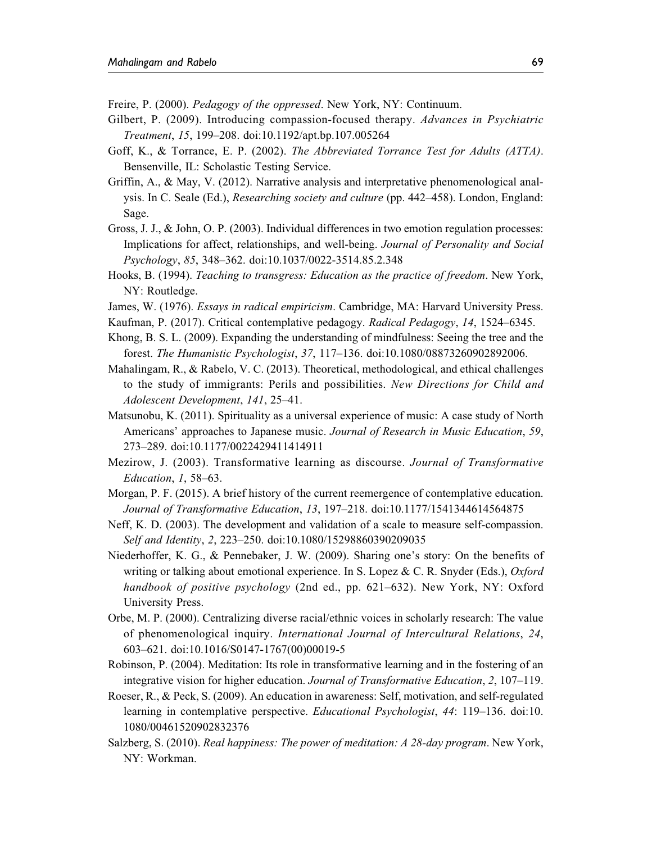- Freire, P. (2000). Pedagogy of the oppressed. New York, NY: Continuum.
- Gilbert, P. (2009). Introducing compassion-focused therapy. Advances in Psychiatric Treatment, 15, 199–208. doi:10.1192/apt.bp.107.005264
- Goff, K., & Torrance, E. P. (2002). The Abbreviated Torrance Test for Adults (ATTA). Bensenville, IL: Scholastic Testing Service.
- Griffin, A., & May, V. (2012). Narrative analysis and interpretative phenomenological analysis. In C. Seale (Ed.), Researching society and culture (pp. 442–458). London, England: Sage.
- Gross, J. J., & John, O. P. (2003). Individual differences in two emotion regulation processes: Implications for affect, relationships, and well-being. Journal of Personality and Social Psychology, 85, 348–362. doi:10.1037/0022-3514.85.2.348
- Hooks, B. (1994). Teaching to transgress: Education as the practice of freedom. New York, NY: Routledge.
- James, W. (1976). Essays in radical empiricism. Cambridge, MA: Harvard University Press.
- Kaufman, P. (2017). Critical contemplative pedagogy. Radical Pedagogy, 14, 1524–6345.
- Khong, B. S. L. (2009). Expanding the understanding of mindfulness: Seeing the tree and the forest. The Humanistic Psychologist, 37, 117–136. doi:10.1080/08873260902892006.
- Mahalingam, R., & Rabelo, V. C. (2013). Theoretical, methodological, and ethical challenges to the study of immigrants: Perils and possibilities. New Directions for Child and Adolescent Development, 141, 25–41.
- Matsunobu, K. (2011). Spirituality as a universal experience of music: A case study of North Americans' approaches to Japanese music. Journal of Research in Music Education, 59, 273–289. doi:10.1177/0022429411414911
- Mezirow, J. (2003). Transformative learning as discourse. Journal of Transformative Education, 1, 58–63.
- Morgan, P. F. (2015). A brief history of the current reemergence of contemplative education. Journal of Transformative Education, 13, 197–218. doi:10.1177/1541344614564875
- Neff, K. D. (2003). The development and validation of a scale to measure self-compassion. Self and Identity, 2, 223–250. doi:10.1080/15298860390209035
- Niederhoffer, K. G., & Pennebaker, J. W. (2009). Sharing one's story: On the benefits of writing or talking about emotional experience. In S. Lopez & C. R. Snyder (Eds.), Oxford handbook of positive psychology (2nd ed., pp. 621–632). New York, NY: Oxford University Press.
- Orbe, M. P. (2000). Centralizing diverse racial/ethnic voices in scholarly research: The value of phenomenological inquiry. International Journal of Intercultural Relations, 24, 603–621. doi:10.1016/S0147-1767(00)00019-5
- Robinson, P. (2004). Meditation: Its role in transformative learning and in the fostering of an integrative vision for higher education. Journal of Transformative Education, 2, 107–119.
- Roeser, R., & Peck, S. (2009). An education in awareness: Self, motivation, and self-regulated learning in contemplative perspective. *Educational Psychologist*, 44: 119–136. doi:10. 1080/00461520902832376
- Salzberg, S. (2010). Real happiness: The power of meditation: A 28-day program. New York, NY: Workman.